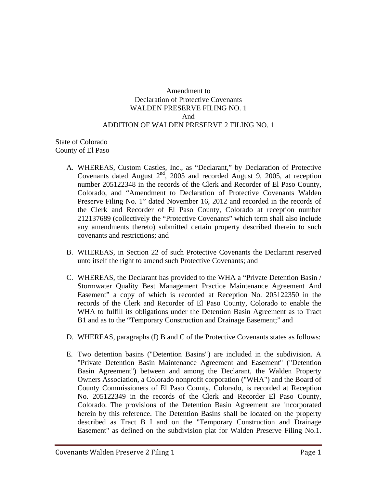#### Amendment to Declaration of Protective Covenants WALDEN PRESERVE FILING NO. 1 And ADDITION OF WALDEN PRESERVE 2 FILING NO. 1

State of Colorado County of El Paso

- A. WHEREAS, Custom Castles, Inc., as "Declarant," by Declaration of Protective Covenants dated August 2<sup>nd</sup>, 2005 and recorded August 9, 2005, at reception number 205122348 in the records of the Clerk and Recorder of El Paso County, Colorado, and "Amendment to Declaration of Protective Covenants Walden Preserve Filing No. 1" dated November 16, 2012 and recorded in the records of the Clerk and Recorder of El Paso County, Colorado at reception number 212137689 (collectively the "Protective Covenants" which term shall also include any amendments thereto) submitted certain property described therein to such covenants and restrictions; and
- B. WHEREAS, in Section 22 of such Protective Covenants the Declarant reserved unto itself the right to amend such Protective Covenants; and
- C. WHEREAS, the Declarant has provided to the WHA a "Private Detention Basin / Stormwater Quality Best Management Practice Maintenance Agreement And Easement" a copy of which is recorded at Reception No. 205122350 in the records of the Clerk and Recorder of El Paso County, Colorado to enable the WHA to fulfill its obligations under the Detention Basin Agreement as to Tract B1 and as to the "Temporary Construction and Drainage Easement;" and
- D. WHEREAS, paragraphs (I) B and C of the Protective Covenants states as follows:
- E. Two detention basins ("Detention Basins") are included in the subdivision. A "Private Detention Basin Maintenance Agreement and Easement" ("Detention Basin Agreement'') between and among the Declarant, the Walden Property Owners Association, a Colorado nonprofit corporation ("WHA") and the Board of County Commissioners of El Paso County, Colorado, is recorded at Reception No. 205122349 in the records of the Clerk and Recorder El Paso County, Colorado. The provisions of the Detention Basin Agreement are incorporated herein by this reference. The Detention Basins shall be located on the property described as Tract B I and on the "Temporary Construction and Drainage Easement" as defined on the subdivision plat for Walden Preserve Filing No.1.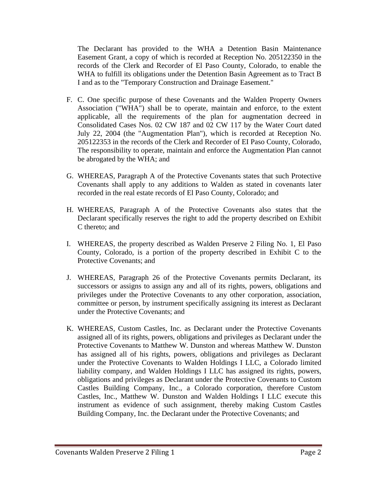The Declarant has provided to the WHA a Detention Basin Maintenance Easement Grant, a copy of which is recorded at Reception No. 205122350 in the records of the Clerk and Recorder of El Paso County, Colorado, to enable the WHA to fulfill its obligations under the Detention Basin Agreement as to Tract B I and as to the "Temporary Construction and Drainage Easement."

- F. C. One specific purpose of these Covenants and the Walden Property Owners Association ("WHA") shall be to operate, maintain and enforce, to the extent applicable, all the requirements of the plan for augmentation decreed in Consolidated Cases Nos. 02 CW 187 and 02 CW 117 by the Water Court dated July 22, 2004 (the "Augmentation Plan"), which is recorded at Reception No. 205122353 in the records of the Clerk and Recorder of EI Paso County, Colorado, The responsibility to operate, maintain and enforce the Augmentation Plan cannot be abrogated by the WHA; and
- G. WHEREAS, Paragraph A of the Protective Covenants states that such Protective Covenants shall apply to any additions to Walden as stated in covenants later recorded in the real estate records of El Paso County, Colorado; and
- H. WHEREAS, Paragraph A of the Protective Covenants also states that the Declarant specifically reserves the right to add the property described on Exhibit C thereto; and
- I. WHEREAS, the property described as Walden Preserve 2 Filing No. 1, El Paso County, Colorado, is a portion of the property described in Exhibit C to the Protective Covenants; and
- J. WHEREAS, Paragraph 26 of the Protective Covenants permits Declarant, its successors or assigns to assign any and all of its rights, powers, obligations and privileges under the Protective Covenants to any other corporation, association, committee or person, by instrument specifically assigning its interest as Declarant under the Protective Covenants; and
- K. WHEREAS, Custom Castles, Inc. as Declarant under the Protective Covenants assigned all of its rights, powers, obligations and privileges as Declarant under the Protective Covenants to Matthew W. Dunston and whereas Matthew W. Dunston has assigned all of his rights, powers, obligations and privileges as Declarant under the Protective Covenants to Walden Holdings I LLC, a Colorado limited liability company, and Walden Holdings I LLC has assigned its rights, powers, obligations and privileges as Declarant under the Protective Covenants to Custom Castles Building Company, Inc., a Colorado corporation, therefore Custom Castles, Inc., Matthew W. Dunston and Walden Holdings I LLC execute this instrument as evidence of such assignment, thereby making Custom Castles Building Company, Inc. the Declarant under the Protective Covenants; and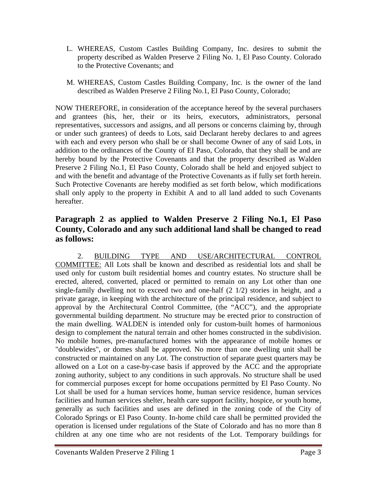- L. WHEREAS, Custom Castles Building Company, Inc. desires to submit the property described as Walden Preserve 2 Filing No. 1, El Paso County. Colorado to the Protective Covenants; and
- M. WHEREAS, Custom Castles Building Company, Inc. is the owner of the land described as Walden Preserve 2 Filing No.1, El Paso County, Colorado;

NOW THEREFORE, in consideration of the acceptance hereof by the several purchasers and grantees (his, her, their or its heirs, executors, administrators, personal representatives, successors and assigns, and all persons or concerns claiming by, through or under such grantees) of deeds to Lots, said Declarant hereby declares to and agrees with each and every person who shall be or shall become Owner of any of said Lots, in addition to the ordinances of the County of EI Paso, Colorado, that they shall be and are hereby bound by the Protective Covenants and that the property described as Walden Preserve 2 Filing No.1, El Paso County, Colorado shall be held and enjoyed subject to and with the benefit and advantage of the Protective Covenants as if fully set forth herein. Such Protective Covenants are hereby modified as set forth below, which modifications shall only apply to the property in Exhibit A and to all land added to such Covenants hereafter.

# **Paragraph 2 as applied to Walden Preserve 2 Filing No.1, El Paso County, Colorado and any such additional land shall be changed to read as follows:**

 2. BUILDING TYPE AND USE/ARCHITECTURAL CONTROL COMMITTEE: All Lots shall be known and described as residential lots and shall be used only for custom built residential homes and country estates. No structure shall be erected, altered, converted, placed or permitted to remain on any Lot other than one single-family dwelling not to exceed two and one-half (2 1/2) stories in height, and a private garage, in keeping with the architecture of the principal residence, and subject to approval by the Architectural Control Committee, (the "ACC"), and the appropriate governmental building department. No structure may be erected prior to construction of the main dwelling. WALDEN is intended only for custom-built homes of harmonious design to complement the natural terrain and other homes constructed in the subdivision. No mobile homes, pre-manufactured homes with the appearance of mobile homes or "doublewides", or domes shall be approved. No more than one dwelling unit shall be constructed or maintained on any Lot. The construction of separate guest quarters may be allowed on a Lot on a case-by-case basis if approved by the ACC and the appropriate zoning authority, subject to any conditions in such approvals. No structure shall be used for commercial purposes except for home occupations permitted by El Paso County. No Lot shall be used for a human services home, human service residence, human services facilities and human services shelter, health care support facility, hospice, or youth home, generally as such facilities and uses are defined in the zoning code of the City of Colorado Springs or El Paso County. In-home child care shall be permitted provided the operation is licensed under regulations of the State of Colorado and has no more than 8 children at any one time who are not residents of the Lot. Temporary buildings for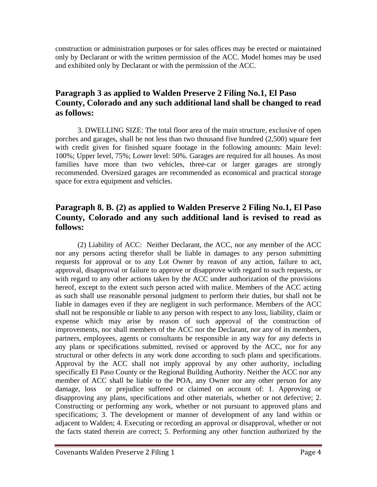construction or administration purposes or for sales offices may be erected or maintained only by Declarant or with the written permission of the ACC. Model homes may be used and exhibited only by Declarant or with the permission of the ACC.

# **Paragraph 3 as applied to Walden Preserve 2 Filing No.1, El Paso County, Colorado and any such additional land shall be changed to read as follows:**

 3. DWELLING SIZE: The total floor area of the main structure, exclusive of open porches and garages, shall be not less than two thousand five hundred (2,500) square feet with credit given for finished square footage in the following amounts: Main level: 100%; Upper level, 75%; Lower level: 50%. Garages are required for all houses. As most families have more than two vehicles, three-car or larger garages are strongly recommended. Oversized garages are recommended as economical and practical storage space for extra equipment and vehicles.

### **Paragraph 8. B. (2) as applied to Walden Preserve 2 Filing No.1, El Paso County, Colorado and any such additional land is revised to read as follows:**

 (2) Liability of ACC: Neither Declarant, the ACC, nor any member of the ACC nor any persons acting therefor shall be liable in damages to any person submitting requests for approval or to any Lot Owner by reason of any action, failure to act, approval, disapproval or failure to approve or disapprove with regard to such requests, or with regard to any other actions taken by the ACC under authorization of the provisions hereof, except to the extent such person acted with malice. Members of the ACC acting as such shall use reasonable personal judgment to perform their duties, but shall not be liable in damages even if they are negligent in such performance. Members of the ACC shall not be responsible or liable to any person with respect to any loss, liability, claim or expense which may arise by reason of such approval of the construction of improvements, nor shall members of the ACC nor the Declarant, nor any of its members, partners, employees, agents or consultants be responsible in any way for any defects in any plans or specifications submitted, revised or approved by the ACC, nor for any structural or other defects in any work done according to such plans and specifications. Approval by the ACC shall not imply approval by any other authority, including specifically El Paso County or the Regional Building Authority. Neither the ACC nor any member of ACC shall be liable to the POA, any Owner nor any other person for any damage, loss or prejudice suffered or claimed on account of: 1. Approving or disapproving any plans, specifications and other materials, whether or not defective; 2. Constructing or performing any work, whether or not pursuant to approved plans and specifications; 3. The development or manner of development of any land within or adjacent to Walden; 4. Executing or recording an approval or disapproval, whether or not the facts stated therein are correct; 5. Performing any other function authorized by the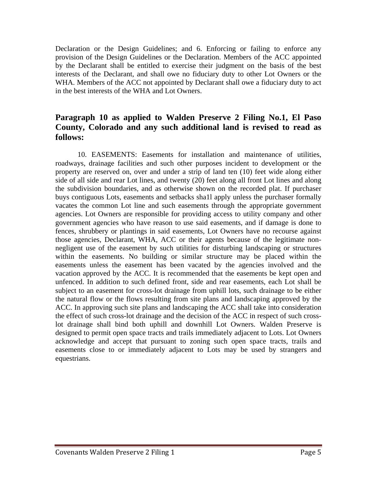Declaration or the Design Guidelines; and 6. Enforcing or failing to enforce any provision of the Design Guidelines or the Declaration. Members of the ACC appointed by the Declarant shall be entitled to exercise their judgment on the basis of the best interests of the Declarant, and shall owe no fiduciary duty to other Lot Owners or the WHA. Members of the ACC not appointed by Declarant shall owe a fiduciary duty to act in the best interests of the WHA and Lot Owners.

### **Paragraph 10 as applied to Walden Preserve 2 Filing No.1, El Paso County, Colorado and any such additional land is revised to read as follows:**

 10. EASEMENTS: Easements for installation and maintenance of utilities, roadways, drainage facilities and such other purposes incident to development or the property are reserved on, over and under a strip of land ten (10) feet wide along either side of all side and rear Lot lines, and twenty (20) feet along all front Lot lines and along the subdivision boundaries, and as otherwise shown on the recorded plat. If purchaser buys contiguous Lots, easements and setbacks sha1l apply unless the purchaser formally vacates the common Lot line and such easements through the appropriate government agencies. Lot Owners are responsible for providing access to utility company and other government agencies who have reason to use said easements, and if damage is done to fences, shrubbery or plantings in said easements, Lot Owners have no recourse against those agencies, Declarant, WHA, ACC or their agents because of the legitimate nonnegligent use of the easement by such utilities for disturbing landscaping or structures within the easements. No building or similar structure may be placed within the easements unless the easement has been vacated by the agencies involved and the vacation approved by the ACC. It is recommended that the easements be kept open and unfenced. In addition to such defined front, side and rear easements, each Lot shall be subject to an easement for cross-lot drainage from uphill lots, such drainage to be either the natural flow or the flows resulting from site plans and landscaping approved by the ACC. In approving such site plans and landscaping the ACC shall take into consideration the effect of such cross-lot drainage and the decision of the ACC in respect of such crosslot drainage shall bind both uphill and downhill Lot Owners. Walden Preserve is designed to permit open space tracts and trails immediately adjacent to Lots. Lot Owners acknowledge and accept that pursuant to zoning such open space tracts, trails and easements close to or immediately adjacent to Lots may be used by strangers and equestrians.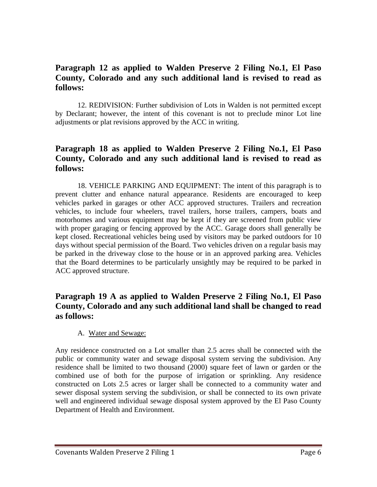## **Paragraph 12 as applied to Walden Preserve 2 Filing No.1, El Paso County, Colorado and any such additional land is revised to read as follows:**

 12. REDIVISION: Further subdivision of Lots in Walden is not permitted except by Declarant; however, the intent of this covenant is not to preclude minor Lot line adjustments or plat revisions approved by the ACC in writing.

## **Paragraph 18 as applied to Walden Preserve 2 Filing No.1, El Paso County, Colorado and any such additional land is revised to read as follows:**

 18. VEHICLE PARKING AND EQUIPMENT: The intent of this paragraph is to prevent clutter and enhance natural appearance. Residents are encouraged to keep vehicles parked in garages or other ACC approved structures. Trailers and recreation vehicles, to include four wheelers, travel trailers, horse trailers, campers, boats and motorhomes and various equipment may be kept if they are screened from public view with proper garaging or fencing approved by the ACC. Garage doors shall generally be kept closed. Recreational vehicles being used by visitors may be parked outdoors for 10 days without special permission of the Board. Two vehicles driven on a regular basis may be parked in the driveway close to the house or in an approved parking area. Vehicles that the Board determines to be particularly unsightly may be required to be parked in ACC approved structure.

### **Paragraph 19 A as applied to Walden Preserve 2 Filing No.1, El Paso County, Colorado and any such additional land shall be changed to read as follows:**

#### A. Water and Sewage:

Any residence constructed on a Lot smaller than 2.5 acres shall be connected with the public or community water and sewage disposal system serving the subdivision. Any residence shall be limited to two thousand (2000) square feet of lawn or garden or the combined use of both for the purpose of irrigation or sprinkling. Any residence constructed on Lots 2.5 acres or larger shall be connected to a community water and sewer disposal system serving the subdivision, or shall be connected to its own private well and engineered individual sewage disposal system approved by the El Paso County Department of Health and Environment.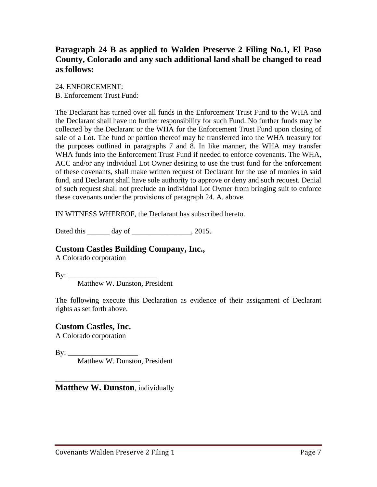# **Paragraph 24 B as applied to Walden Preserve 2 Filing No.1, El Paso County, Colorado and any such additional land shall be changed to read as follows:**

24. ENFORCEMENT: B. Enforcement Trust Fund:

The Declarant has turned over all funds in the Enforcement Trust Fund to the WHA and the Declarant shall have no further responsibility for such Fund. No further funds may be collected by the Declarant or the WHA for the Enforcement Trust Fund upon closing of sale of a Lot. The fund or portion thereof may be transferred into the WHA treasury for the purposes outlined in paragraphs 7 and 8. In like manner, the WHA may transfer WHA funds into the Enforcement Trust Fund if needed to enforce covenants. The WHA, ACC and/or any individual Lot Owner desiring to use the trust fund for the enforcement of these covenants, shall make written request of Declarant for the use of monies in said fund, and Declarant shall have sole authority to approve or deny and such request. Denial of such request shall not preclude an individual Lot Owner from bringing suit to enforce these covenants under the provisions of paragraph 24. A. above.

IN WITNESS WHEREOF, the Declarant has subscribed hereto.

Dated this day of 2015.

#### **Custom Castles Building Company, Inc.,**

A Colorado corporation

By: \_\_\_\_\_\_\_\_\_\_\_\_\_\_\_\_\_\_\_\_\_\_\_\_

Matthew W. Dunston, President

The following execute this Declaration as evidence of their assignment of Declarant rights as set forth above.

#### **Custom Castles, Inc.**

\_\_\_\_\_\_\_\_\_\_\_\_\_\_\_\_\_\_\_\_\_\_\_

A Colorado corporation

By: \_\_\_\_\_\_\_\_\_\_\_\_\_\_\_\_\_\_\_

Matthew W. Dunston, President

**Matthew W. Dunston**, individually